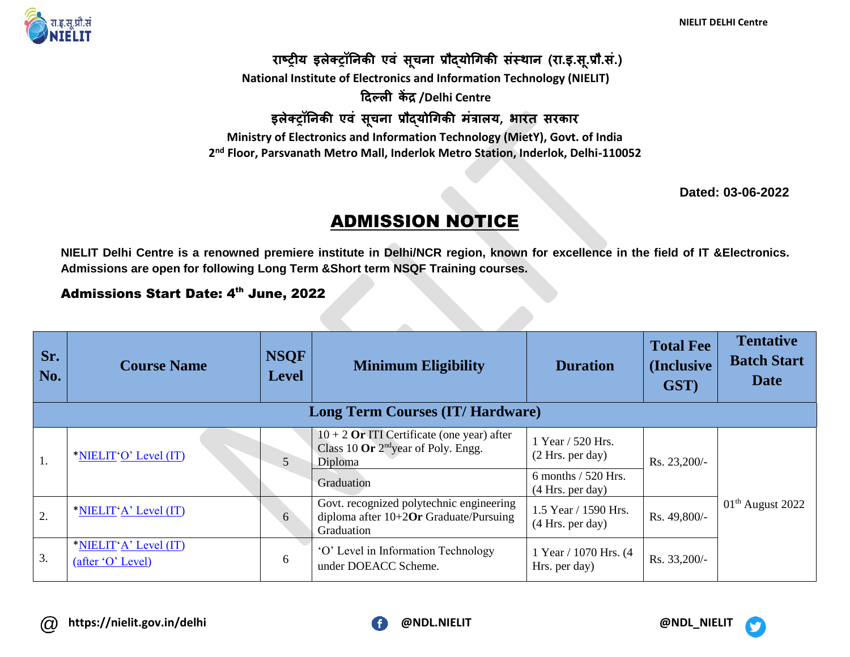**NIELIT DELHI Centre**



**राष्ट्रीय इलेक्ट्रॉनिकी एवं सूचिा प्रौद्योगिकी संस्थाि (रा.इ.सू.प्रौ.सं.) National Institute of Electronics and Information Technology (NIELIT) दिल्ली कें द्र /Delhi Centre इलेक्ट्रॉनिकी एवं सूचिा प्रौद्योगिकी मंत्रालय, भारत सरकार Ministry of Electronics and Information Technology (MietY), Govt. of India 2 nd Floor, Parsvanath Metro Mall, Inderlok Metro Station, Inderlok, Delhi-110052**

**Dated: 03-06-2022**

## ADMISSION NOTICE

**NIELIT Delhi Centre is a renowned premiere institute in Delhi/NCR region, known for excellence in the field of IT &Electronics. Admissions are open for following Long Term &Short term NSQF Training courses.**

## Admissions Start Date: 4<sup>th</sup> June, 2022

| Sr.<br>No.                              | <b>Course Name</b>                         | <b>NSQF</b><br><b>Level</b> | <b>Minimum Eligibility</b>                                                                          | <b>Duration</b>                           | <b>Total Fee</b><br>(Inclusive)<br>GST) | <b>Tentative</b><br><b>Batch Start</b><br><b>Date</b> |  |
|-----------------------------------------|--------------------------------------------|-----------------------------|-----------------------------------------------------------------------------------------------------|-------------------------------------------|-----------------------------------------|-------------------------------------------------------|--|
| <b>Long Term Courses (IT/ Hardware)</b> |                                            |                             |                                                                                                     |                                           |                                         |                                                       |  |
| 1.                                      | *NIELIT'O' Level (IT)                      | 5                           | $10 + 2$ Or ITI Certificate (one year) after<br>Class 10 Or $2^{nd}$ year of Poly. Engg.<br>Diploma | 1 Year / 520 Hrs.<br>(2 Hrs. per day)     | Rs. 23,200/-                            | $01th$ August 2022                                    |  |
|                                         |                                            |                             | Graduation                                                                                          | 6 months $/$ 520 Hrs.<br>(4 Hrs. per day) |                                         |                                                       |  |
| 2.                                      | *NIELIT'A' Level (IT)                      | 6                           | Govt. recognized polytechnic engineering<br>diploma after $10+2$ Or Graduate/Pursuing<br>Graduation | 1.5 Year / 1590 Hrs.<br>(4 Hrs. per day)  | Rs. 49,800/-                            |                                                       |  |
| 3.                                      | *NIELIT'A' Level (IT)<br>(after 'O' Level) | 6                           | 'O' Level in Information Technology<br>under DOEACC Scheme.                                         | 1 Year / 1070 Hrs. (4<br>Hrs. per day)    | Rs. 33,200/-                            |                                                       |  |



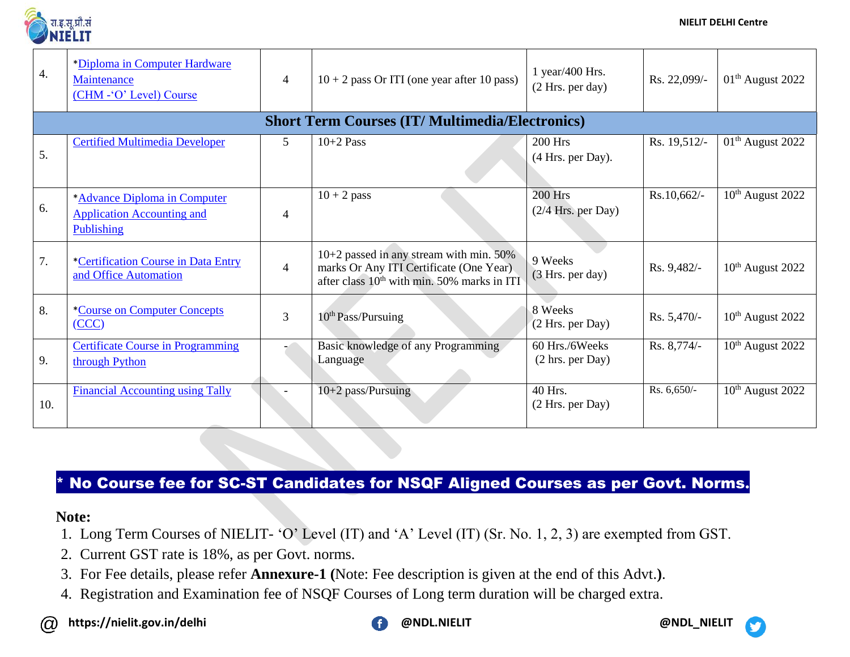

| $\overline{4}$ . | *Diploma in Computer Hardware<br>Maintenance<br>(CHM - O' Level) Course         | 4              | $10 + 2$ pass Or ITI (one year after 10 pass)                                                                                                   | 1 year/400 Hrs.<br>(2 Hrs. per day)                  | Rs. 22,099/- | 01 <sup>th</sup> August 2022 |
|------------------|---------------------------------------------------------------------------------|----------------|-------------------------------------------------------------------------------------------------------------------------------------------------|------------------------------------------------------|--------------|------------------------------|
|                  |                                                                                 |                | <b>Short Term Courses (IT/ Multimedia/Electronics)</b>                                                                                          |                                                      |              |                              |
| 5.               | <b>Certified Multimedia Developer</b>                                           | 5 <sup>5</sup> | $10+2$ Pass                                                                                                                                     | <b>200 Hrs</b><br>(4 Hrs. per Day).                  | Rs. 19,512/- | $01th$ August 2022           |
| 6.               | *Advance Diploma in Computer<br><b>Application Accounting and</b><br>Publishing | $\overline{4}$ | $10 + 2$ pass                                                                                                                                   | $200$ Hrs<br>$(2/4$ Hrs. per Day)                    | Rs.10,662/-  | 10 <sup>th</sup> August 2022 |
| 7.               | <i>*Certification Course in Data Entry</i><br>and Office Automation             | $\overline{4}$ | $10+2$ passed in any stream with min. 50%<br>marks Or Any ITI Certificate (One Year)<br>after class 10 <sup>th</sup> with min. 50% marks in ITI | 9 Weeks<br>(3 Hrs. per day)                          | Rs. 9,482/-  | $10th$ August 2022           |
| 8.               | <i>*Course on Computer Concepts</i><br>(CCC)                                    | 3              | 10 <sup>th</sup> Pass/Pursuing                                                                                                                  | 8 Weeks<br>(2 Hrs. per Day)                          | Rs. 5,470/-  | $10th$ August 2022           |
| 9.               | <b>Certificate Course in Programming</b><br>through Python                      |                | Basic knowledge of any Programming<br>Language                                                                                                  | 60 Hrs./6Weeks<br>$(2 \text{ hrs.} \text{ per Day})$ | Rs. 8,774/-  | $10th$ August 2022           |
| 10.              | <b>Financial Accounting using Tally</b>                                         |                | 10+2 pass/Pursuing                                                                                                                              | 40 Hrs.<br>(2 Hrs. per Day)                          | Rs. 6,650/-  | 10 <sup>th</sup> August 2022 |

## \* No Course fee for SC-ST Candidates for NSQF Aligned Courses as per Govt. Norms**.**

## **Note:**

- 1. Long Term Courses of NIELIT- 'O' Level (IT) and 'A' Level (IT) (Sr. No. 1, 2, 3) are exempted from GST.
- 2. Current GST rate is 18%, as per Govt. norms.
- 3. For Fee details, please refer **Annexure-1 (**Note: Fee description is given at the end of this Advt.**)**.
- 4. Registration and Examination fee of NSQF Courses of Long term duration will be charged extra.
- **https://nielit.gov.in/delhi @NDL.NIELIT @NDL\_NIELIT**  $\omega$

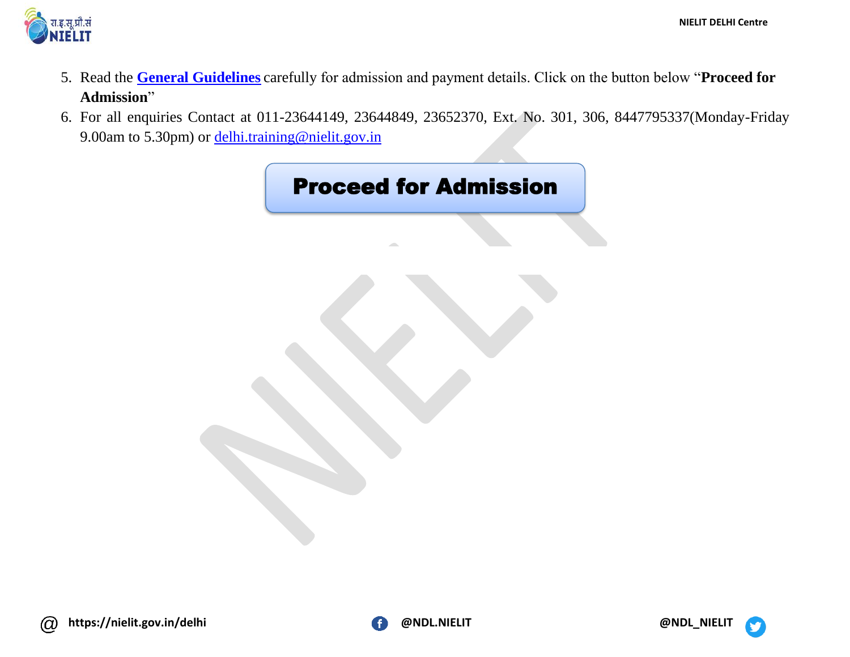

- 5. Read the **[General Guidelines](https://nielit.gov.in/delhi/sites/default/files/PDF/Training/Admission_Guidelines_Jun2022.pdf)** carefully for admission and payment details. Click on the button below "**Proceed for Admission**"
- 6. For all enquiries Contact at 011-23644149, 23644849, 23652370, Ext. No. 301, 306, 8447795337(Monday-Friday 9.00am to 5.30pm) or [delhi.training@nielit.gov.in](mailto:delhi.training@nielit.gov.in)



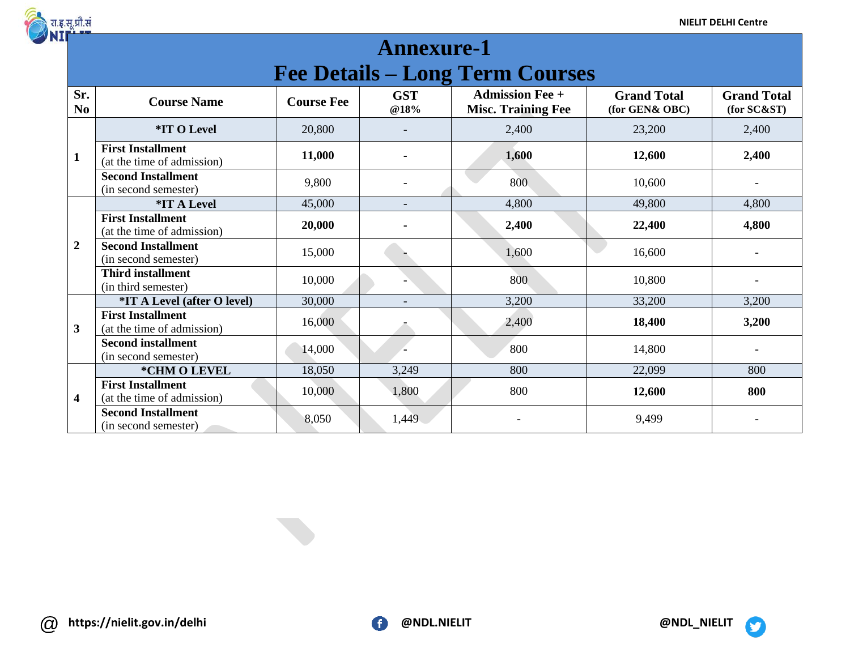

| <b>Annexure-1</b>                      |                                                        |                   |                          |                                                     |                                      |                                   |  |  |
|----------------------------------------|--------------------------------------------------------|-------------------|--------------------------|-----------------------------------------------------|--------------------------------------|-----------------------------------|--|--|
| <b>Fee Details – Long Term Courses</b> |                                                        |                   |                          |                                                     |                                      |                                   |  |  |
| Sr.<br>N <sub>0</sub>                  | <b>Course Name</b>                                     | <b>Course Fee</b> | <b>GST</b><br>@18%       | <b>Admission Fee +</b><br><b>Misc. Training Fee</b> | <b>Grand Total</b><br>(for GEN& OBC) | <b>Grand Total</b><br>(for SC&ST) |  |  |
| $\mathbf{1}$                           | *IT O Level                                            | 20,800            |                          | 2,400                                               | 23,200                               | 2,400                             |  |  |
|                                        | <b>First Installment</b><br>(at the time of admission) | 11,000            | ۰                        | 1,600                                               | 12,600                               | 2,400                             |  |  |
|                                        | <b>Second Installment</b><br>(in second semester)      | 9,800             |                          | 800                                                 | 10,600                               |                                   |  |  |
| $\boldsymbol{2}$                       | <i><b>*IT A Level</b></i>                              | 45,000            | $\overline{\phantom{0}}$ | 4,800                                               | 49,800                               | 4,800                             |  |  |
|                                        | <b>First Installment</b><br>(at the time of admission) | 20,000            | ۰                        | 2,400                                               | 22,400                               | 4,800                             |  |  |
|                                        | <b>Second Installment</b><br>(in second semester)      | 15,000            |                          | 1,600                                               | 16,600                               |                                   |  |  |
|                                        | <b>Third installment</b><br>(in third semester)        | 10,000            |                          | 800                                                 | 10,800                               |                                   |  |  |
| 3                                      | <i><b>*IT A Level (after O level)</b></i>              | 30,000            |                          | 3,200                                               | 33,200                               | 3,200                             |  |  |
|                                        | <b>First Installment</b><br>(at the time of admission) | 16,000            |                          | 2,400                                               | 18,400                               | 3,200                             |  |  |
|                                        | <b>Second installment</b><br>(in second semester)      | 14,000            |                          | 800                                                 | 14,800                               |                                   |  |  |
| 4                                      | *CHM O LEVEL                                           | 18,050            | 3,249                    | 800                                                 | 22,099                               | 800                               |  |  |
|                                        | <b>First Installment</b><br>(at the time of admission) | 10,000            | 1,800                    | 800                                                 | 12,600                               | 800                               |  |  |
|                                        | <b>Second Installment</b><br>(in second semester)      | 8,050             | 1,449                    |                                                     | 9,499                                |                                   |  |  |